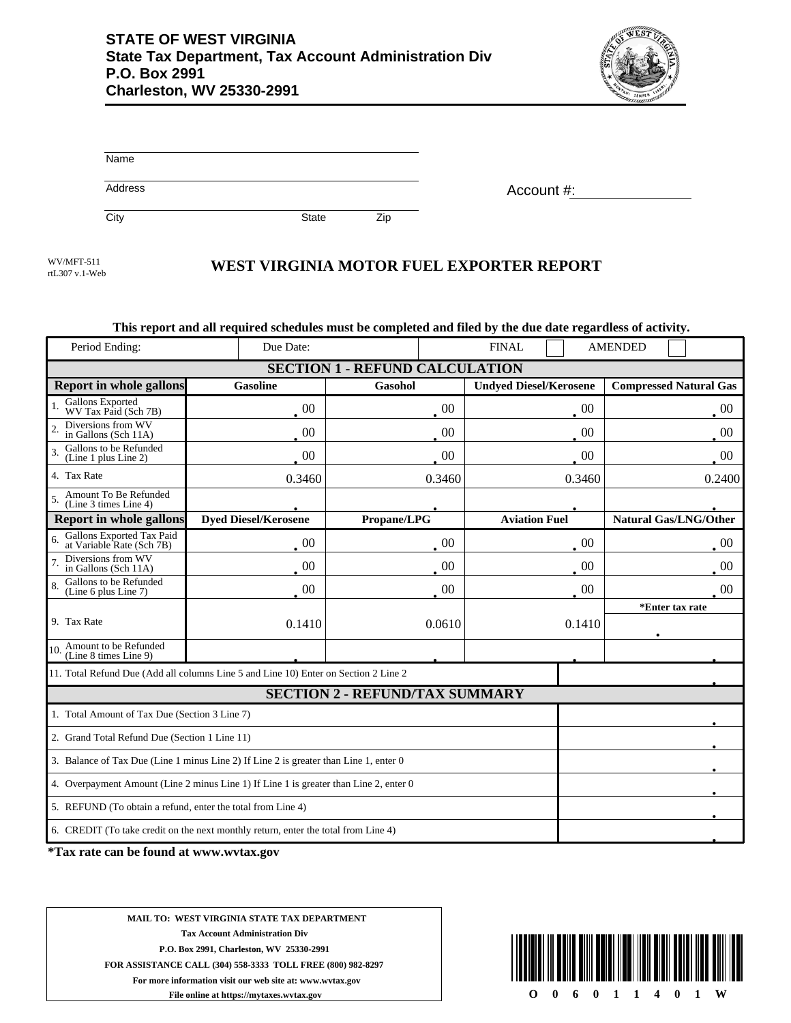

| Name    |  |  |  |
|---------|--|--|--|
| Address |  |  |  |

Account #:

City **State** Zip

rtL307 v.1-Web

## WEST VIRGINIA MOTOR FUEL EXPORTER REPORT

## **This report and all required schedules must be completed and filed by the due date regardless of activity.**

| Period Ending:                                                                        | Due Date:                   |                                       | <b>FINAL</b>                  | <b>AMENDED</b>                |  |  |
|---------------------------------------------------------------------------------------|-----------------------------|---------------------------------------|-------------------------------|-------------------------------|--|--|
| <b>SECTION 1 - REFUND CALCULATION</b>                                                 |                             |                                       |                               |                               |  |  |
| <b>Report in whole gallons</b>                                                        | <b>Gasoline</b>             | <b>Gasohol</b>                        | <b>Undyed Diesel/Kerosene</b> | <b>Compressed Natural Gas</b> |  |  |
| Gallons Exported<br>WV Tax Paid (Sch 7B)                                              | 00                          | $00\,$                                | $00\,$                        | 00                            |  |  |
| Diversions from WV<br>$\overline{2}$<br>in Gallons (Sch 11A)                          | 00                          | 00                                    | $00\,$                        | 00                            |  |  |
| Gallons to be Refunded<br>(Line 1 plus Line 2)                                        | $00\,$                      | $00\,$                                | $00\,$                        | $00\,$                        |  |  |
| 4. Tax Rate                                                                           | 0.3460                      | 0.3460                                | 0.3460                        | 0.2400                        |  |  |
| Amount To Be Refunded<br>(Line 3 times Line 4)                                        |                             |                                       |                               |                               |  |  |
| <b>Report in whole gallons</b>                                                        | <b>Dyed Diesel/Kerosene</b> | Propane/LPG                           | <b>Aviation Fuel</b>          | <b>Natural Gas/LNG/Other</b>  |  |  |
| Gallons Exported Tax Paid<br>at Variable Rate (Sch 7B)                                | $00\,$                      | 00                                    | $00\,$                        | $00\,$                        |  |  |
| Diversions from WV<br>in Gallons (Sch 11A)                                            | 00                          | $00\,$                                | $00\,$                        | 00                            |  |  |
| Gallons to be Refunded<br>(Line 6 plus Line 7)                                        | $00\,$                      | 00                                    | $00\,$                        | 00                            |  |  |
|                                                                                       |                             |                                       |                               | *Enter tax rate               |  |  |
| 9. Tax Rate                                                                           | 0.1410                      | 0.0610                                | 0.1410                        |                               |  |  |
| Amount to be Refunded<br>(Line 8 times Line 9)<br>10.                                 |                             |                                       |                               |                               |  |  |
| 11. Total Refund Due (Add all columns Line 5 and Line 10) Enter on Section 2 Line 2   |                             |                                       |                               |                               |  |  |
|                                                                                       |                             | <b>SECTION 2 - REFUND/TAX SUMMARY</b> |                               |                               |  |  |
| 1. Total Amount of Tax Due (Section 3 Line 7)                                         |                             |                                       |                               |                               |  |  |
| 2. Grand Total Refund Due (Section 1 Line 11)                                         |                             |                                       |                               |                               |  |  |
| 3. Balance of Tax Due (Line 1 minus Line 2) If Line 2 is greater than Line 1, enter 0 |                             |                                       |                               |                               |  |  |
| 4. Overpayment Amount (Line 2 minus Line 1) If Line 1 is greater than Line 2, enter 0 |                             |                                       |                               |                               |  |  |
| 5. REFUND (To obtain a refund, enter the total from Line 4)                           |                             |                                       |                               |                               |  |  |
| 6. CREDIT (To take credit on the next monthly return, enter the total from Line 4)    |                             |                                       |                               |                               |  |  |

**\*Tax rate can be found at www.wvtax.gov**